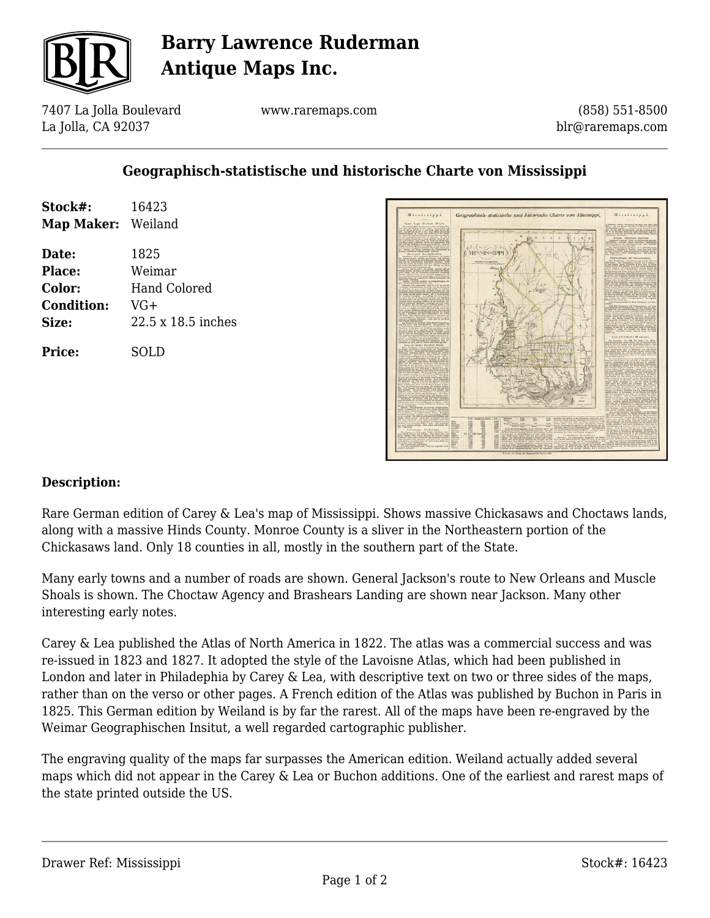

## **Barry Lawrence Ruderman Antique Maps Inc.**

7407 La Jolla Boulevard La Jolla, CA 92037

www.raremaps.com

(858) 551-8500 blr@raremaps.com

### **Geographisch-statistische und historische Charte von Mississippi**

| Stock#:<br><b>Map Maker:</b> Weiland | 16423               |
|--------------------------------------|---------------------|
| Date:                                | 1825                |
| Place:                               | Weimar              |
| Color:                               | <b>Hand Colored</b> |
| <b>Condition:</b>                    | $VG+$               |
| Size:                                | 22.5 x 18.5 inches  |
| Price:                               | SOLD                |



#### **Description:**

Rare German edition of Carey & Lea's map of Mississippi. Shows massive Chickasaws and Choctaws lands, along with a massive Hinds County. Monroe County is a sliver in the Northeastern portion of the Chickasaws land. Only 18 counties in all, mostly in the southern part of the State.

Many early towns and a number of roads are shown. General Jackson's route to New Orleans and Muscle Shoals is shown. The Choctaw Agency and Brashears Landing are shown near Jackson. Many other interesting early notes.

Carey & Lea published the Atlas of North America in 1822. The atlas was a commercial success and was re-issued in 1823 and 1827. It adopted the style of the Lavoisne Atlas, which had been published in London and later in Philadephia by Carey & Lea, with descriptive text on two or three sides of the maps, rather than on the verso or other pages. A French edition of the Atlas was published by Buchon in Paris in 1825. This German edition by Weiland is by far the rarest. All of the maps have been re-engraved by the Weimar Geographischen Insitut, a well regarded cartographic publisher.

The engraving quality of the maps far surpasses the American edition. Weiland actually added several maps which did not appear in the Carey & Lea or Buchon additions. One of the earliest and rarest maps of the state printed outside the US.